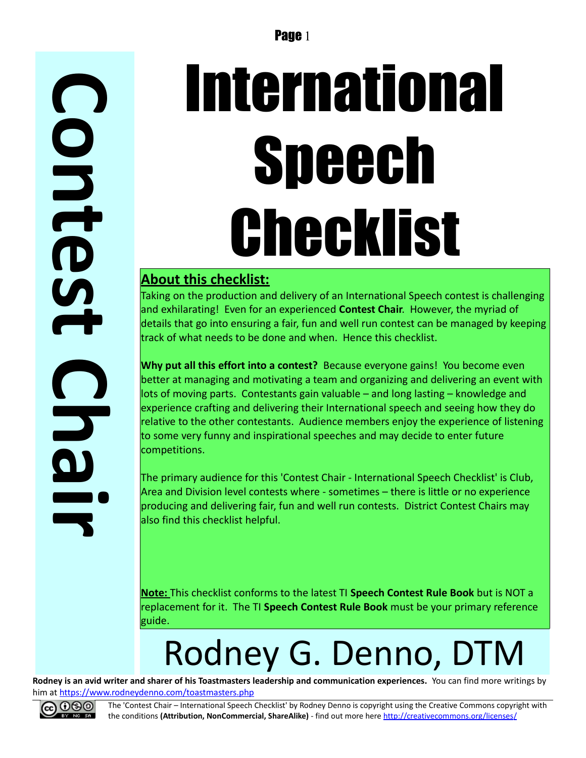**C o n t e**  $\boldsymbol{\mathsf{S}}$ **t C h a i r**

# International **Speech** Checklist

#### **About this checklist:**

Taking on the production and delivery of an International Speech contest is challenging and exhilarating! Even for an experienced **Contest Chair**. However, the myriad of details that go into ensuring a fair, fun and well run contest can be managed by keeping track of what needs to be done and when. Hence this checklist.

**Why put all this effort into a contest?** Because everyone gains! You become even better at managing and motivating a team and organizing and delivering an event with lots of moving parts. Contestants gain valuable – and long lasting – knowledge and experience crafting and delivering their International speech and seeing how they do relative to the other contestants. Audience members enjoy the experience of listening to some very funny and inspirational speeches and may decide to enter future competitions.

The primary audience for this 'Contest Chair - International Speech Checklist' is Club, Area and Division level contests where - sometimes – there is little or no experience producing and delivering fair, fun and well run contests. District Contest Chairs may also find this checklist helpful.

**Note:** This checklist conforms to the latest TI **Speech Contest Rule Book** but is NOT a replacement for it. The TI **Speech Contest Rule Book** must be your primary reference guide.

## Rodney G. Denno, DTM

**Rodney is an avid writer and sharer of his Toastmasters leadership and communication experiences.** You can find more writings by him at<https://www.rodneydenno.com/toastmasters.php>



The 'Contest Chair – International Speech Checklist' by Rodney Denno is copyright using the Creative Commons copyright with the conditions **(Attribution, NonCommercial, ShareAlike)** - find out more here<http://creativecommons.org/licenses/>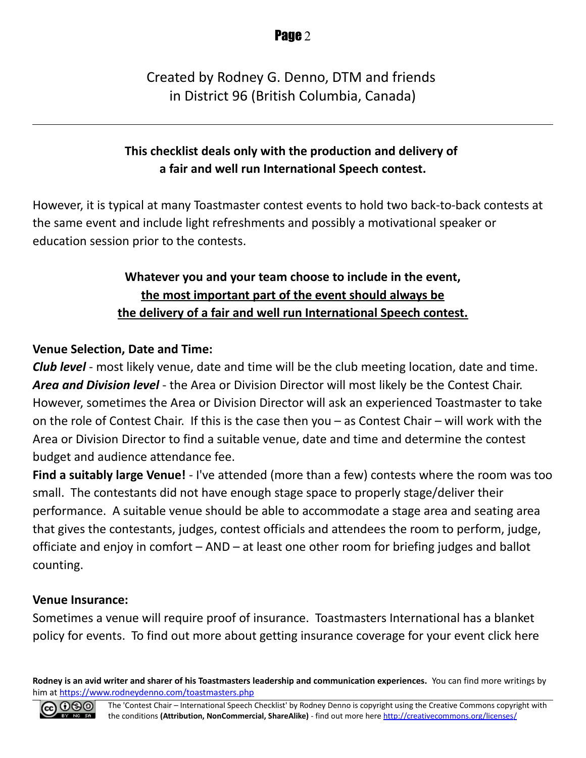#### Created by Rodney G. Denno, DTM and friends in District 96 (British Columbia, Canada)

#### **This checklist deals only with the production and delivery of a fair and well run International Speech contest.**

However, it is typical at many Toastmaster contest events to hold two back-to-back contests at the same event and include light refreshments and possibly a motivational speaker or education session prior to the contests.

#### **Whatever you and your team choose to include in the event, the most important part of the event should always be the delivery of a fair and well run International Speech contest.**

#### **Venue Selection, Date and Time:**

*Club level* - most likely venue, date and time will be the club meeting location, date and time. *Area and Division level* - the Area or Division Director will most likely be the Contest Chair. However, sometimes the Area or Division Director will ask an experienced Toastmaster to take on the role of Contest Chair. If this is the case then you – as Contest Chair – will work with the Area or Division Director to find a suitable venue, date and time and determine the contest budget and audience attendance fee.

**Find a suitably large Venue!** - I've attended (more than a few) contests where the room was too small. The contestants did not have enough stage space to properly stage/deliver their performance. A suitable venue should be able to accommodate a stage area and seating area that gives the contestants, judges, contest officials and attendees the room to perform, judge, officiate and enjoy in comfort – AND – at least one other room for briefing judges and ballot counting.

#### **Venue Insurance:**

Sometimes a venue will require proof of insurance. Toastmasters International has a blanket policy for events. To find out more about getting insurance coverage for your event click here

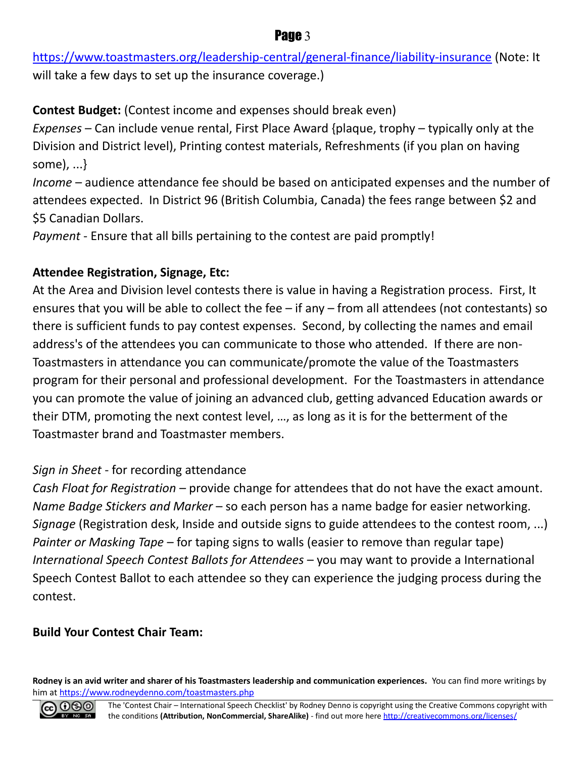<https://www.toastmasters.org/leadership-central/general-finance/liability-insurance>(Note: It will take a few days to set up the insurance coverage.)

**Contest Budget:** (Contest income and expenses should break even) *Expenses* – Can include venue rental, First Place Award {plaque, trophy – typically only at the Division and District level), Printing contest materials, Refreshments (if you plan on having some), ...}

*Income* – audience attendance fee should be based on anticipated expenses and the number of attendees expected. In District 96 (British Columbia, Canada) the fees range between \$2 and \$5 Canadian Dollars.

*Payment* - Ensure that all bills pertaining to the contest are paid promptly!

#### **Attendee Registration, Signage, Etc:**

At the Area and Division level contests there is value in having a Registration process. First, It ensures that you will be able to collect the fee – if any – from all attendees (not contestants) so there is sufficient funds to pay contest expenses. Second, by collecting the names and email address's of the attendees you can communicate to those who attended. If there are non-Toastmasters in attendance you can communicate/promote the value of the Toastmasters program for their personal and professional development. For the Toastmasters in attendance you can promote the value of joining an advanced club, getting advanced Education awards or their DTM, promoting the next contest level, …, as long as it is for the betterment of the Toastmaster brand and Toastmaster members.

#### *Sign in Sheet* - for recording attendance

*Cash Float for Registration* – provide change for attendees that do not have the exact amount. *Name Badge Stickers and Marker* – so each person has a name badge for easier networking. *Signage* (Registration desk, Inside and outside signs to guide attendees to the contest room, ...) *Painter or Masking Tape* – for taping signs to walls (easier to remove than regular tape) *International Speech Contest Ballots for Attendees* – you may want to provide a International Speech Contest Ballot to each attendee so they can experience the judging process during the contest.

#### **Build Your Contest Chair Team:**

**Rodney is an avid writer and sharer of his Toastmasters leadership and communication experiences.** You can find more writings by him at<https://www.rodneydenno.com/toastmasters.php>



#### Page 3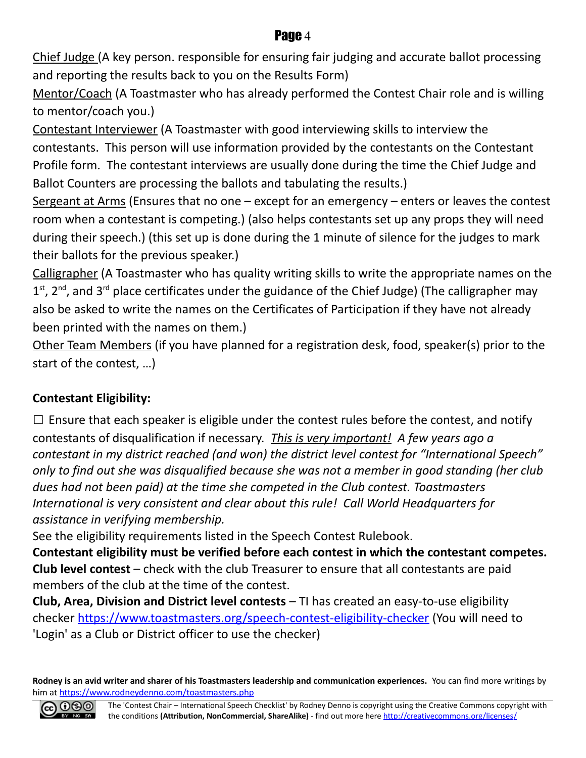Chief Judge (A key person. responsible for ensuring fair judging and accurate ballot processing and reporting the results back to you on the Results Form)

Mentor/Coach (A Toastmaster who has already performed the Contest Chair role and is willing to mentor/coach you.)

Contestant Interviewer (A Toastmaster with good interviewing skills to interview the contestants. This person will use information provided by the contestants on the Contestant Profile form. The contestant interviews are usually done during the time the Chief Judge and Ballot Counters are processing the ballots and tabulating the results.)

Sergeant at Arms (Ensures that no one  $-$  except for an emergency  $-$  enters or leaves the contest room when a contestant is competing.) (also helps contestants set up any props they will need during their speech.) (this set up is done during the 1 minute of silence for the judges to mark their ballots for the previous speaker.)

Calligrapher (A Toastmaster who has quality writing skills to write the appropriate names on the 1<sup>st</sup>, 2<sup>nd</sup>, and 3<sup>rd</sup> place certificates under the guidance of the Chief Judge) (The calligrapher may also be asked to write the names on the Certificates of Participation if they have not already been printed with the names on them.)

Other Team Members (if you have planned for a registration desk, food, speaker(s) prior to the start of the contest, …)

#### **Contestant Eligibility:**

 $\square$  Ensure that each speaker is eligible under the contest rules before the contest, and notify contestants of disqualification if necessary. *This is very important! A few years ago a contestant in my district reached (and won) the district level contest for "International Speech" only to find out she was disqualified because she was not a member in good standing (her club dues had not been paid) at the time she competed in the Club contest. Toastmasters International is very consistent and clear about this rule! Call World Headquarters for assistance in verifying membership.*

See the eligibility requirements listed in the Speech Contest Rulebook.

**Contestant eligibility must be verified before each contest in which the contestant competes. Club level contest** – check with the club Treasurer to ensure that all contestants are paid members of the club at the time of the contest.

**Club, Area, Division and District level contests** – TI has created an easy-to-use eligibility checker<https://www.toastmasters.org/speech-contest-eligibility-checker>(You will need to 'Login' as a Club or District officer to use the checker)

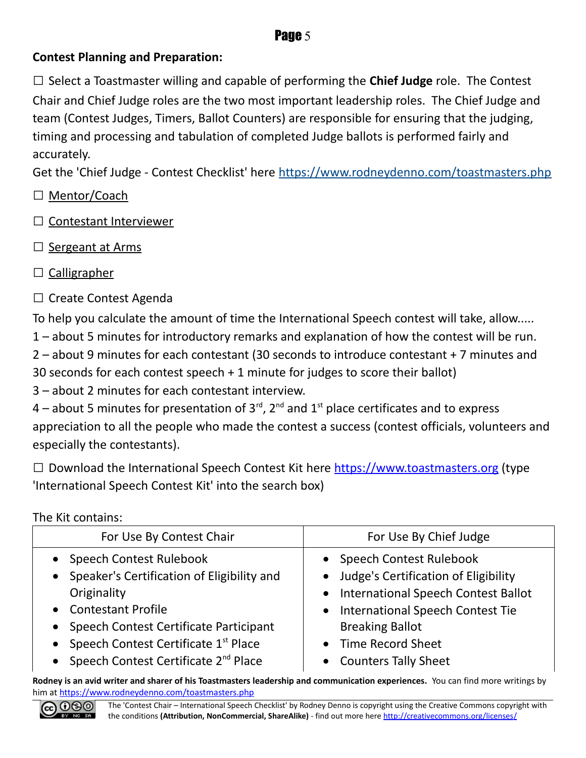#### **Contest Planning and Preparation:**

□ Select a Toastmaster willing and capable of performing the **Chief Judge** role. The Contest Chair and Chief Judge roles are the two most important leadership roles. The Chief Judge and team (Contest Judges, Timers, Ballot Counters) are responsible for ensuring that the judging, timing and processing and tabulation of completed Judge ballots is performed fairly and accurately.

Get the 'Chief Judge - Contest Checklist' here<https://www.rodneydenno.com/toastmasters.php>

- □ Mentor/Coach
- □ Contestant Interviewer
- □ Sergeant at Arms
- □ Calligrapher
- $\Box$  Create Contest Agenda

To help you calculate the amount of time the International Speech contest will take, allow.....

1 – about 5 minutes for introductory remarks and explanation of how the contest will be run.

2 – about 9 minutes for each contestant (30 seconds to introduce contestant + 7 minutes and

30 seconds for each contest speech + 1 minute for judges to score their ballot)

3 – about 2 minutes for each contestant interview.

4 – about 5 minutes for presentation of  $3^{rd}$ ,  $2^{nd}$  and  $1^{st}$  place certificates and to express appreciation to all the people who made the contest a success (contest officials, volunteers and especially the contestants).

 $\square$  Download the International Speech Contest Kit here [https://www.toastmasters.org](https://www.toastmasters.org/) (type 'International Speech Contest Kit' into the search box)

The Kit contains:

| For Use By Contest Chair                           | For Use By Chief Judge                 |
|----------------------------------------------------|----------------------------------------|
| • Speech Contest Rulebook                          | • Speech Contest Rulebook              |
| • Speaker's Certification of Eligibility and       | • Judge's Certification of Eligibility |
| Originality                                        | • International Speech Contest Ballot  |
| • Contestant Profile                               | • International Speech Contest Tie     |
| • Speech Contest Certificate Participant           | <b>Breaking Ballot</b>                 |
| • Speech Contest Certificate 1st Place             | • Time Record Sheet                    |
| • Speech Contest Certificate 2 <sup>nd</sup> Place | • Counters Tally Sheet                 |

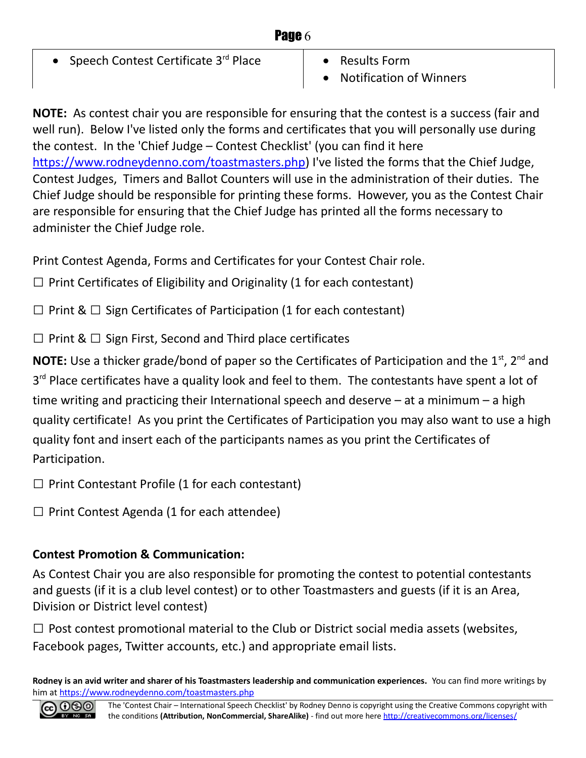| Page 6                                      |                                             |
|---------------------------------------------|---------------------------------------------|
| • Speech Contest Certificate $3^{rd}$ Place | • Results Form<br>• Notification of Winners |

**NOTE:** As contest chair you are responsible for ensuring that the contest is a success (fair and well run). Below I've listed only the forms and certificates that you will personally use during the contest. In the 'Chief Judge – Contest Checklist' (you can find it here [https://www.rodneydenno.com/toastmasters.php\)](https://www.rodneydenno.com/toastmasters.php) I've listed the forms that the Chief Judge, Contest Judges, Timers and Ballot Counters will use in the administration of their duties. The Chief Judge should be responsible for printing these forms. However, you as the Contest Chair are responsible for ensuring that the Chief Judge has printed all the forms necessary to administer the Chief Judge role.

Print Contest Agenda, Forms and Certificates for your Contest Chair role.

 $\Box$  Print Certificates of Eligibility and Originality (1 for each contestant)

 $\Box$  Print &  $\Box$  Sign Certificates of Participation (1 for each contestant)

 $\Box$  Print &  $\Box$  Sign First, Second and Third place certificates

**NOTE:** Use a thicker grade/bond of paper so the Certificates of Participation and the 1<sup>st</sup>, 2<sup>nd</sup> and 3<sup>rd</sup> Place certificates have a quality look and feel to them. The contestants have spent a lot of time writing and practicing their International speech and deserve – at a minimum – a high quality certificate! As you print the Certificates of Participation you may also want to use a high quality font and insert each of the participants names as you print the Certificates of Participation.

 $\square$  Print Contestant Profile (1 for each contestant)

 $\Box$  Print Contest Agenda (1 for each attendee)

#### **Contest Promotion & Communication:**

As Contest Chair you are also responsible for promoting the contest to potential contestants and guests (if it is a club level contest) or to other Toastmasters and guests (if it is an Area, Division or District level contest)

 $\Box$  Post contest promotional material to the Club or District social media assets (websites, Facebook pages, Twitter accounts, etc.) and appropriate email lists.

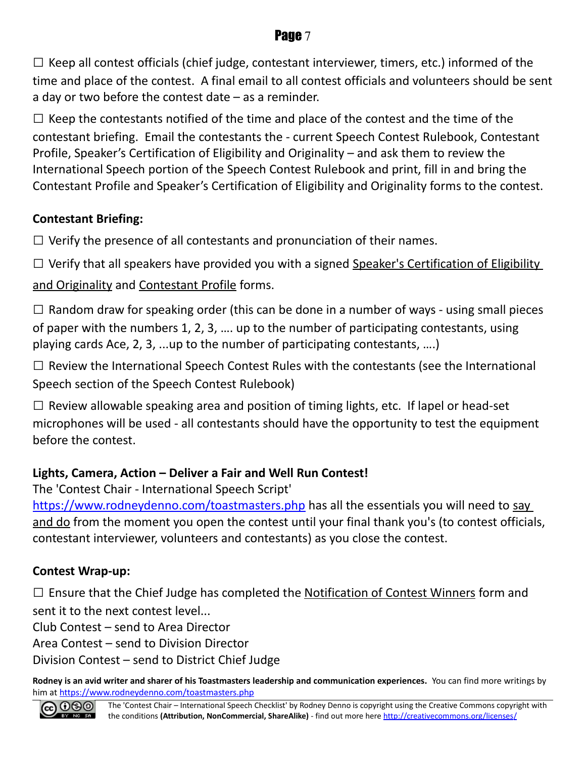$\Box$  Keep all contest officials (chief judge, contestant interviewer, timers, etc.) informed of the time and place of the contest. A final email to all contest officials and volunteers should be sent a day or two before the contest date – as a reminder.

 $\square$  Keep the contestants notified of the time and place of the contest and the time of the contestant briefing. Email the contestants the - current Speech Contest Rulebook, Contestant Profile, Speaker's Certification of Eligibility and Originality – and ask them to review the International Speech portion of the Speech Contest Rulebook and print, fill in and bring the Contestant Profile and Speaker's Certification of Eligibility and Originality forms to the contest.

#### **Contestant Briefing:**

 $\Box$  Verify the presence of all contestants and pronunciation of their names.

 $\Box$  Verify that all speakers have provided you with a signed Speaker's Certification of Eligibility

and Originality and Contestant Profile forms.

 $\square$  Random draw for speaking order (this can be done in a number of ways - using small pieces of paper with the numbers 1, 2, 3, …. up to the number of participating contestants, using playing cards Ace, 2, 3, ...up to the number of participating contestants, ….)

 $\square$  Review the International Speech Contest Rules with the contestants (see the International Speech section of the Speech Contest Rulebook)

 $\Box$  Review allowable speaking area and position of timing lights, etc. If lapel or head-set microphones will be used - all contestants should have the opportunity to test the equipment before the contest.

#### **Lights, Camera, Action – Deliver a Fair and Well Run Contest!**

The 'Contest Chair - International Speech Script'

<https://www.rodneydenno.com/toastmasters.php>has all the essentials you will need to say and do from the moment you open the contest until your final thank you's (to contest officials, contestant interviewer, volunteers and contestants) as you close the contest.

#### **Contest Wrap-up:**

 $\square$  Ensure that the Chief Judge has completed the Notification of Contest Winners form and sent it to the next contest level...

Club Contest – send to Area Director

Area Contest – send to Division Director

Division Contest – send to District Chief Judge